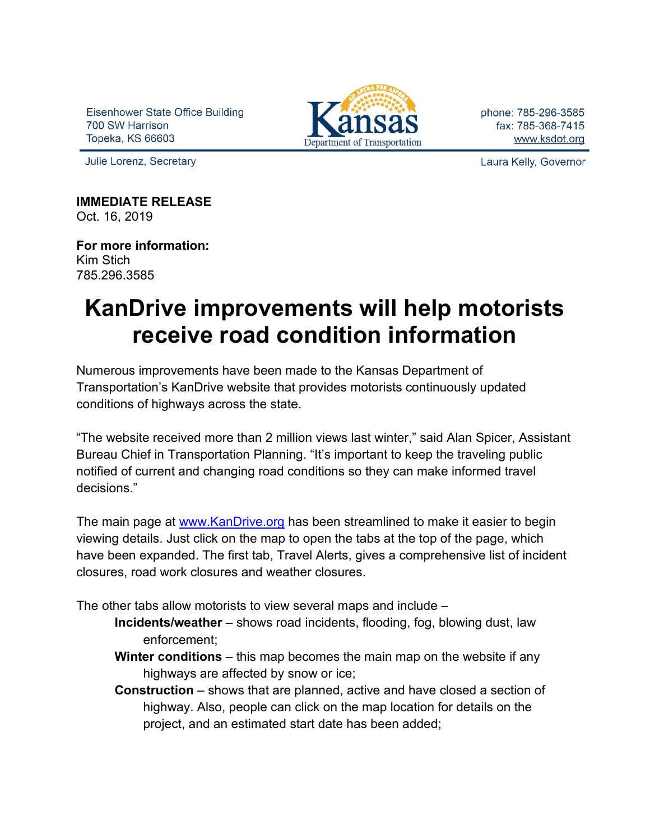Eisenhower State Office Building 700 SW Harrison Topeka, KS 66603



phone: 785-296-3585 fax: 785-368-7415 www.ksdot.org

Julie Lorenz, Secretary

Laura Kelly, Governor

**IMMEDIATE RELEASE** Oct. 16, 2019

**For more information:** Kim Stich 785.296.3585

## **KanDrive improvements will help motorists receive road condition information**

Numerous improvements have been made to the Kansas Department of Transportation's KanDrive website that provides motorists continuously updated conditions of highways across the state.

"The website received more than 2 million views last winter," said Alan Spicer, Assistant Bureau Chief in Transportation Planning. "It's important to keep the traveling public notified of current and changing road conditions so they can make informed travel decisions."

The main page at [www.KanDrive.org](http://www.kandrive.org/) has been streamlined to make it easier to begin viewing details. Just click on the map to open the tabs at the top of the page, which have been expanded. The first tab, Travel Alerts, gives a comprehensive list of incident closures, road work closures and weather closures.

The other tabs allow motorists to view several maps and include –

- **Incidents/weather** shows road incidents, flooding, fog, blowing dust, law enforcement;
- **Winter conditions** this map becomes the main map on the website if any highways are affected by snow or ice;
- **Construction** shows that are planned, active and have closed a section of highway. Also, people can click on the map location for details on the project, and an estimated start date has been added;